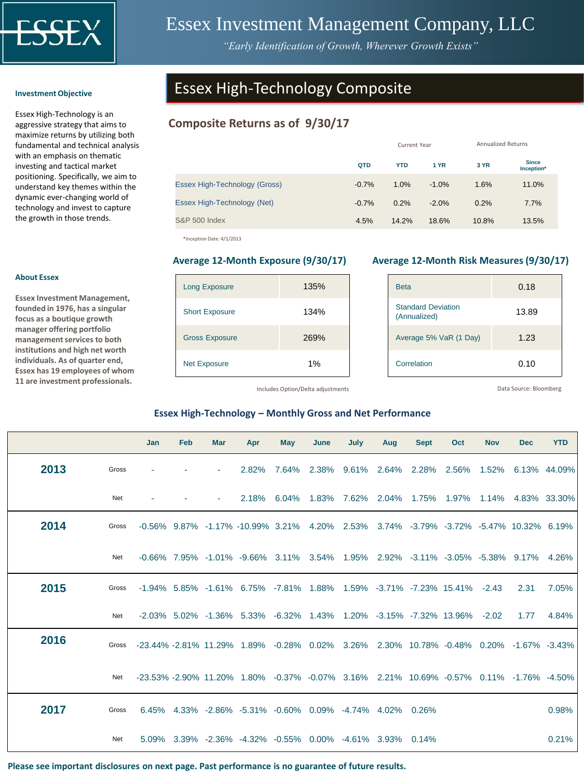

# Essex Investment Management Company, LLC

*"Early Identification of Growth, Wherever Growth Exists"*

#### **Investment Objective**

Essex High-Technology is an aggressive strategy that aims to maximize returns by utilizing both fundamental and technical analysis with an emphasis on thematic investing and tactical market positioning. Specifically, we aim to understand key themes within the dynamic ever-changing world of technology and invest to capture the growth in those trends.

# Essex High-Technology Composite

## **Composite Returns as of 9/30/17**

|                               |         | Current Year | <b>Annualized Returns</b> |       |                            |  |
|-------------------------------|---------|--------------|---------------------------|-------|----------------------------|--|
|                               | QTD     | <b>YTD</b>   | <b>1 YR</b>               | 3 YR  | <b>Since</b><br>Inception* |  |
| Essex High-Technology (Gross) | $-0.7%$ | 1.0%         | $-1.0%$                   | 1.6%  | 11.0%                      |  |
| Essex High-Technology (Net)   | $-0.7%$ | 0.2%         | $-2.0%$                   | 0.2%  | 7.7%                       |  |
| <b>S&amp;P 500 Index</b>      | 4.5%    | 14.2%        | 18.6%                     | 10.8% | 13.5%                      |  |

\*Inception Date: 4/1/2013

| <b>Long Exposure</b>  | 135% |
|-----------------------|------|
| <b>Short Exposure</b> | 134% |
| <b>Gross Exposure</b> | 269% |
| <b>Net Exposure</b>   | 1%   |

#### **Average 12-Month Exposure (9/30/17) Average 12-Month Risk Measures (9/30/17)**

| <b>Beta</b>                               | 0.18  |
|-------------------------------------------|-------|
| <b>Standard Deviation</b><br>(Annualized) | 13.89 |
| Average 5% VaR (1 Day)                    | 1.23  |
| Correlation                               | 0.10  |

Includes Option/Delta adjustments

Data Source: Bloomberg

## **Essex High-Technology – Monthly Gross and Net Performance**

|      |       | Jan                                                                                          | Feb | <b>Mar</b> | Apr                                                                                                     | <b>May</b> | June | July | Aug | <b>Sept</b> | Oct                                                          | <b>Nov</b> | <b>Dec</b> | <b>YTD</b> |
|------|-------|----------------------------------------------------------------------------------------------|-----|------------|---------------------------------------------------------------------------------------------------------|------------|------|------|-----|-------------|--------------------------------------------------------------|------------|------------|------------|
| 2013 | Gross |                                                                                              |     |            | 2.82%                                                                                                   | 7.64%      |      |      |     |             | 2.38% 9.61% 2.64% 2.28% 2.56% 1.52% 6.13% 44.09%             |            |            |            |
|      | Net   |                                                                                              |     |            |                                                                                                         |            |      |      |     |             | 2.18% 6.04% 1.83% 7.62% 2.04% 1.75% 1.97% 1.14% 4.83% 33.30% |            |            |            |
| 2014 | Gross |                                                                                              |     |            | $-0.56\%$ 9.87% $-1.17\%$ $-10.99\%$ 3.21% 4.20% 2.53% 3.74% $-3.79\%$ $-3.72\%$ $-5.47\%$ 10.32% 6.19% |            |      |      |     |             |                                                              |            |            |            |
|      | Net   |                                                                                              |     |            | $-0.66\%$ 7.95% $-1.01\%$ $-9.66\%$ 3.11% 3.54% 1.95% 2.92% $-3.11\%$ $-3.05\%$ $-5.38\%$ 9.17% 4.26%   |            |      |      |     |             |                                                              |            |            |            |
| 2015 | Gross |                                                                                              |     |            | $-1.94\%$ 5.85% $-1.61\%$ 6.75% $-7.81\%$ 1.88% 1.59% $-3.71\%$ $-7.23\%$ 15.41% $-2.43$                |            |      |      |     |             |                                                              |            | 2.31       | 7.05%      |
|      | Net   |                                                                                              |     |            | $-2.03\%$ 5.02% $-1.36\%$ 5.33% $-6.32\%$ 1.43% 1.20% $-3.15\%$ $-7.32\%$ 13.96% $-2.02$                |            |      |      |     |             |                                                              |            | 1.77       | 4.84%      |
| 2016 |       | Gross -23.44% -2.81% 11.29% 1.89% -0.28% 0.02% 3.26% 2.30% 10.78% -0.48% 0.20% -1.67% -3.43% |     |            |                                                                                                         |            |      |      |     |             |                                                              |            |            |            |
|      | Net   |                                                                                              |     |            | -23.53% -2.90% 11.20% 1.80% -0.37% -0.07% 3.16% 2.21% 10.69% -0.57% 0.11% -1.76% -4.50%                 |            |      |      |     |             |                                                              |            |            |            |
| 2017 | Gross |                                                                                              |     |            | 6.45% 4.33% -2.86% -5.31% -0.60% 0.09% -4.74% 4.02% 0.26%                                               |            |      |      |     |             |                                                              |            |            | 0.98%      |
|      | Net   |                                                                                              |     |            | 5.09% 3.39% -2.36% -4.32% -0.55% 0.00% -4.61% 3.93% 0.14%                                               |            |      |      |     |             |                                                              |            |            | 0.21%      |

#### **Please see important disclosures on next page. Past performance is no guarantee of future results.**

### **About Essex**

**Essex Investment Management, founded in 1976, has a singular focus as a boutique growth manager offering portfolio management services to both institutions and high net worth individuals. As of quarter end, Essex has 19 employees of whom 11 are investment professionals.**